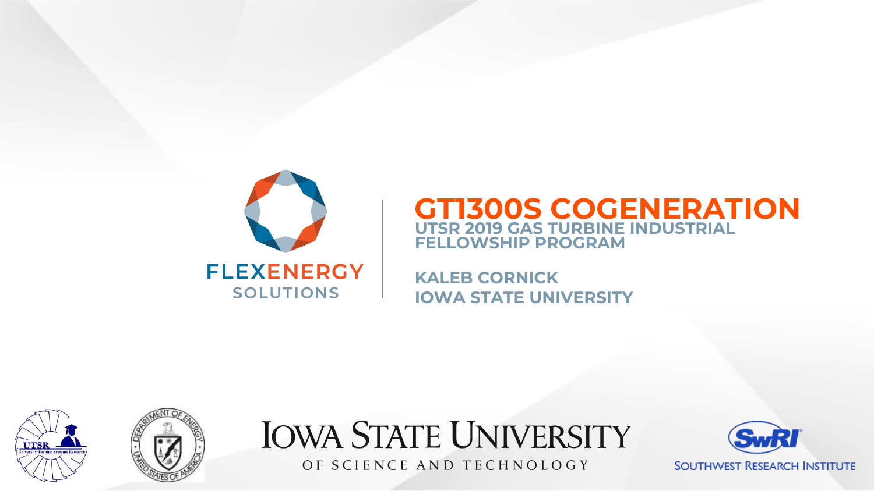

### **GT1300S COGENERATION UTSR 2019 GAS TURBINE INDUSTRIAL FELLOWSHIP PROGRAM**

**KALEB CORNICK IOWA STATE UNIVERSITY**



**IOWA STATE UNIVERSITY** OF SCIENCE AND TECHNOLOGY

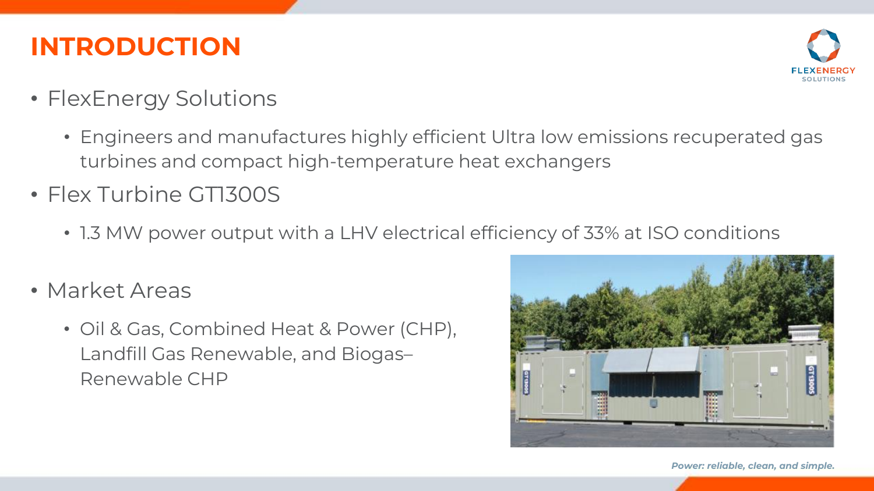## **INTRODUCTION**



- FlexEnergy Solutions
	- Engineers and manufactures highly efficient Ultra low emissions recuperated gas turbines and compact high-temperature heat exchangers
- Flex Turbine GT1300S
	- 1.3 MW power output with a LHV electrical efficiency of 33% at ISO conditions
- Market Areas
	- Oil & Gas, Combined Heat & Power (CHP), Landfill Gas Renewable, and Biogas– Renewable CHP

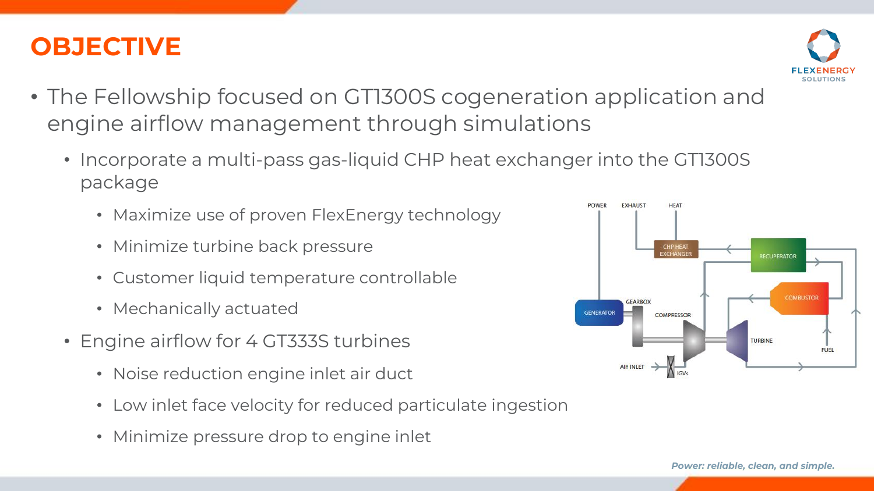## **OBJECTIVE**



- The Fellowship focused on GT1300S cogeneration application and engine airflow management through simulations
	- Incorporate a multi-pass gas-liquid CHP heat exchanger into the GT1300S package
		- Maximize use of proven FlexEnergy technology
		- Minimize turbine back pressure
		- Customer liquid temperature controllable
		- Mechanically actuated
	- Engine airflow for 4 GT333S turbines
		- Noise reduction engine inlet air duct
		- Low inlet face velocity for reduced particulate ingestion
		- Minimize pressure drop to engine inlet

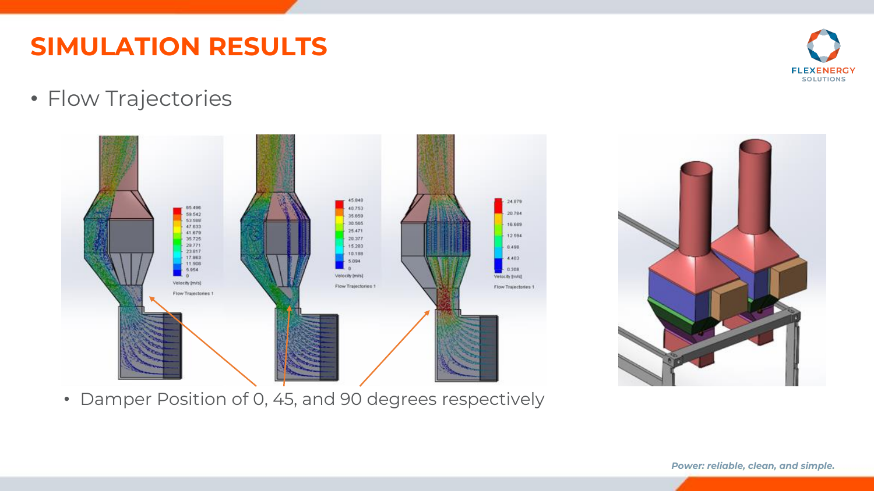• Flow Trajectories

• Damper Position of 0, 45, and 90 degrees respectively





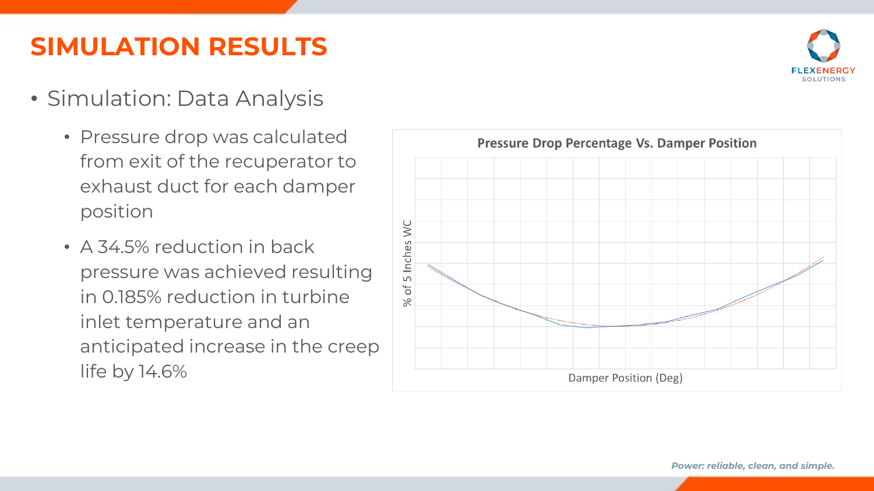- Simulation: Data Analysis
	- Pressure drop was calculated from exit of the recuperator to exhaust duct for each damper position
	- A 34.5% reduction in back pressure was achieved resulting in 0.185% reduction in turbine inlet temperature and an anticipated increase in the creep life by 14.6%

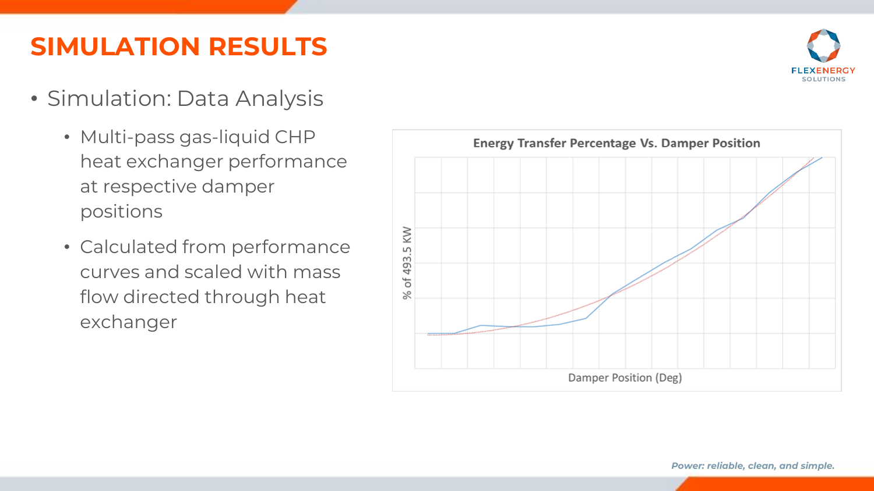- Simulation: Data Analysis
	- Multi-pass gas-liquid CHP heat exchanger performance at respective damper positions
	- Calculated from performance curves and scaled with mass flow directed through heat exchanger



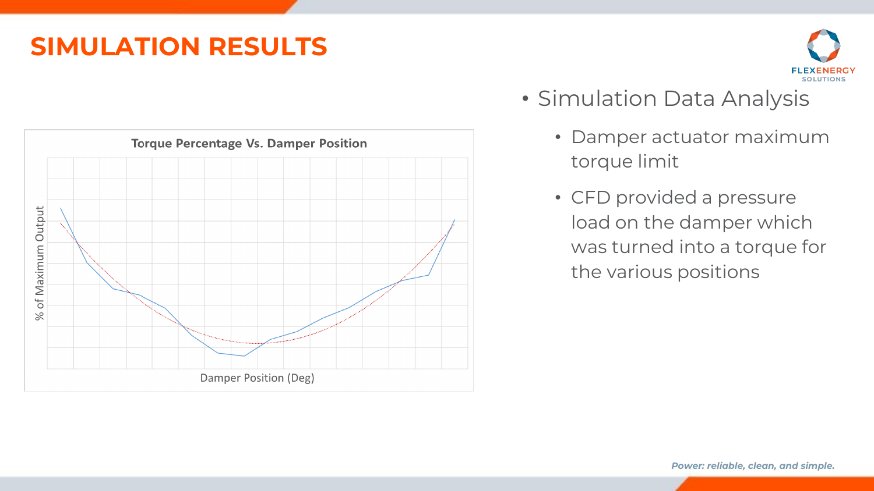#### *Power: reliable, clean, and simple.*



- Simulation Data Analysis
	- Damper actuator maximum torque limit
	- CFD provided a pressure load on the damper which was turned into a torque for the various positions

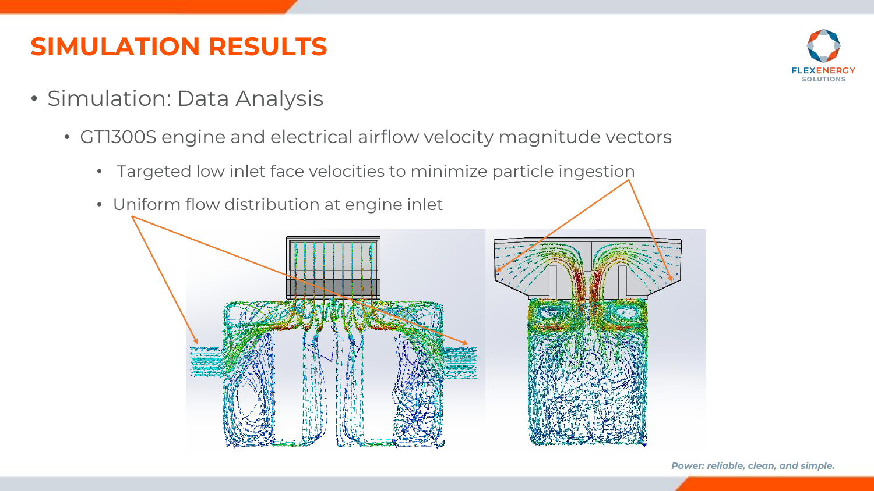- Simulation: Data Analysis
	- GT1300S engine and electrical airflow velocity magnitude vectors
		- Targeted low inlet face velocities to minimize particle ingestion



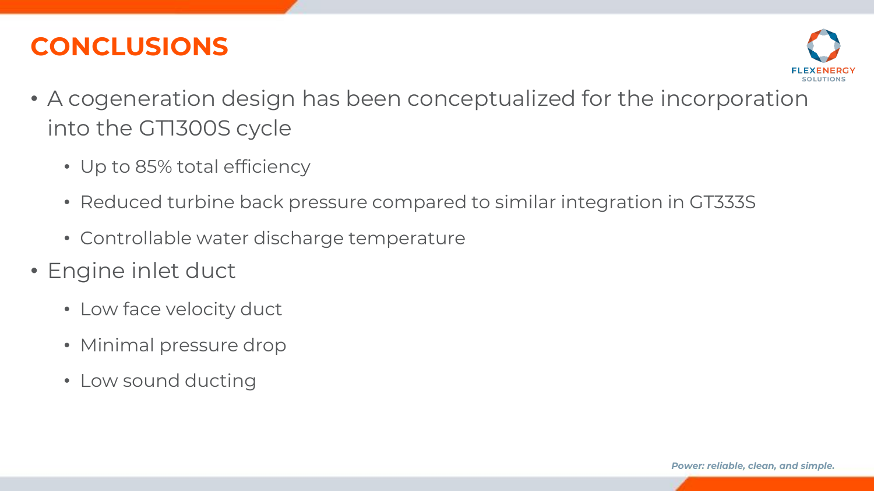## **CONCLUSIONS**



- A cogeneration design has been conceptualized for the incorporation into the GT1300S cycle
	- Up to 85% total efficiency
	- Reduced turbine back pressure compared to similar integration in GT333S
	- Controllable water discharge temperature
- Engine inlet duct
	- Low face velocity duct
	- Minimal pressure drop
	- Low sound ducting